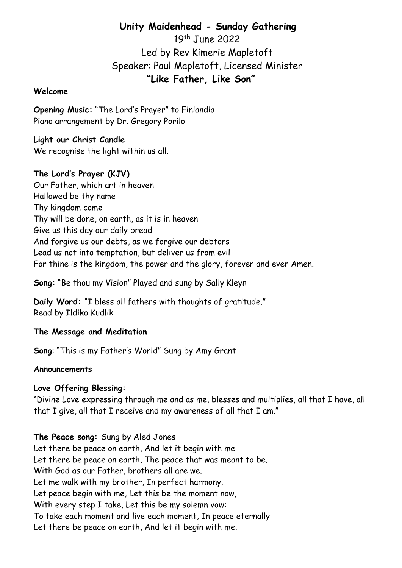# Unity Maidenhead - Sunday Gathering

19th June 2022 Led by Rev Kimerie Mapletoft Speaker: Paul Mapletoft, Licensed Minister "Like Father, Like Son"

#### Welcome

Opening Music: "The Lord's Prayer" to Finlandia Piano arrangement by Dr. Gregory Porilo

Light our Christ Candle We recognise the light within us all.

# The Lord's Prayer (KJV)

Our Father, which art in heaven Hallowed be thy name Thy kingdom come Thy will be done, on earth, as it is in heaven Give us this day our daily bread And forgive us our debts, as we forgive our debtors Lead us not into temptation, but deliver us from evil For thine is the kingdom, the power and the glory, forever and ever Amen.

Song: "Be thou my Vision" Played and sung by Sally Kleyn

Daily Word: "I bless all fathers with thoughts of gratitude." Read by Ildiko Kudlik

## The Message and Meditation

Song: "This is my Father's World" Sung by Amy Grant

#### Announcements

#### Love Offering Blessing:

"Divine Love expressing through me and as me, blesses and multiplies, all that I have, all that I give, all that I receive and my awareness of all that I am."

The Peace song: Sung by Aled Jones Let there be peace on earth, And let it begin with me Let there be peace on earth, The peace that was meant to be. With God as our Father, brothers all are we. Let me walk with my brother, In perfect harmony. Let peace begin with me, Let this be the moment now, With every step I take, Let this be my solemn vow: To take each moment and live each moment, In peace eternally Let there be peace on earth, And let it begin with me.